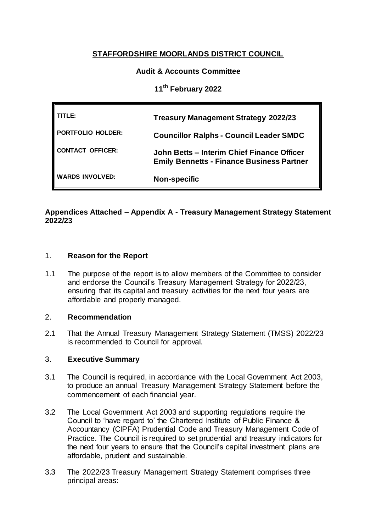# **STAFFORDSHIRE MOORLANDS DISTRICT COUNCIL**

# **Audit & Accounts Committee**

**11th February 2022**

| TITLE:                 | <b>Treasury Management Strategy 2022/23</b>                                                    |
|------------------------|------------------------------------------------------------------------------------------------|
| PORTFOLIO HOLDER:      | <b>Councillor Ralphs - Council Leader SMDC</b>                                                 |
| CONTACT OFFICER:       | John Betts - Interim Chief Finance Officer<br><b>Emily Bennetts - Finance Business Partner</b> |
| <b>WARDS INVOLVED:</b> | <b>Non-specific</b>                                                                            |

# **Appendices Attached – Appendix A - Treasury Management Strategy Statement 2022/23**

# 1. **Reason for the Report**

1.1 The purpose of the report is to allow members of the Committee to consider and endorse the Council's Treasury Management Strategy for 2022/23, ensuring that its capital and treasury activities for the next four years are affordable and properly managed.

### 2. **Recommendation**

2.1 That the Annual Treasury Management Strategy Statement (TMSS) 2022/23 is recommended to Council for approval.

#### 3. **Executive Summary**

- 3.1 The Council is required, in accordance with the Local Government Act 2003, to produce an annual Treasury Management Strategy Statement before the commencement of each financial year.
- 3.2 The Local Government Act 2003 and supporting regulations require the Council to 'have regard to' the Chartered Institute of Public Finance & Accountancy (CIPFA) Prudential Code and Treasury Management Code of Practice. The Council is required to set prudential and treasury indicators for the next four years to ensure that the Council's capital investment plans are affordable, prudent and sustainable.
- 3.3 The 2022/23 Treasury Management Strategy Statement comprises three principal areas: